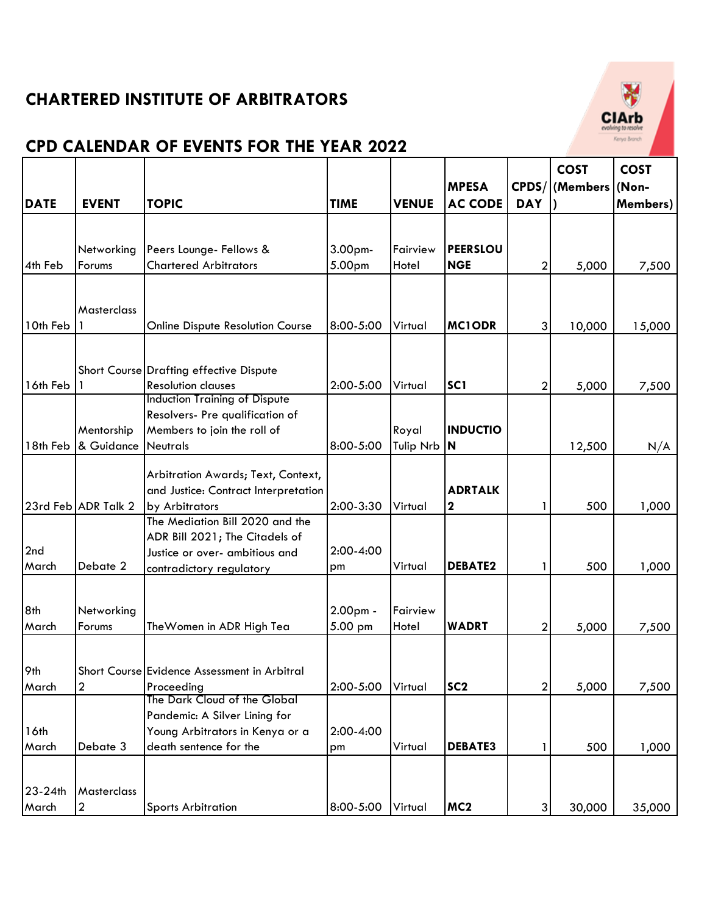

|                  |                               |                                                                            |             |                  |                  |                | <b>COST</b>      | <b>COST</b>      |
|------------------|-------------------------------|----------------------------------------------------------------------------|-------------|------------------|------------------|----------------|------------------|------------------|
|                  |                               |                                                                            |             |                  | <b>MPESA</b>     | CPDS/          | (Members   (Non- |                  |
| <b>DATE</b>      | <b>EVENT</b>                  | <b>TOPIC</b>                                                               | <b>TIME</b> | <b>VENUE</b>     | <b>AC CODE</b>   | <b>DAY</b>     |                  | <b>Members</b> ) |
|                  |                               |                                                                            |             |                  |                  |                |                  |                  |
|                  | Networking                    | Peers Lounge- Fellows &                                                    | 3.00pm-     | Fairview         | <b>PEERSLOU</b>  |                |                  |                  |
| 4th Feb          | Forums                        | <b>Chartered Arbitrators</b>                                               | 5.00pm      | Hotel            | <b>NGE</b>       | 2              | 5,000            | 7,500            |
|                  |                               |                                                                            |             |                  |                  |                |                  |                  |
|                  | Masterclass                   |                                                                            |             |                  |                  |                |                  |                  |
| 10th Feb         |                               | Online Dispute Resolution Course                                           | 8:00-5:00   | Virtual          | <b>MC1ODR</b>    | 3              | 10,000           | 15,000           |
|                  |                               |                                                                            |             |                  |                  |                |                  |                  |
|                  |                               |                                                                            |             |                  |                  |                |                  |                  |
| 16th Feb         |                               | Short Course Drafting effective Dispute<br><b>Resolution clauses</b>       | 2:00-5:00   | Virtual          | SC <sub>1</sub>  | $\mathbf{2}$   |                  |                  |
|                  |                               | <b>Induction Training of Dispute</b>                                       |             |                  |                  |                | 5,000            | 7,500            |
|                  |                               | Resolvers- Pre qualification of                                            |             |                  |                  |                |                  |                  |
|                  | Mentorship                    | Members to join the roll of                                                |             | Royal            | <b>INDUCTIO</b>  |                |                  |                  |
| 18th Feb         | & Guidance                    | Neutrals                                                                   | 8:00-5:00   | <b>Tulip Nrb</b> | N                |                | 12,500           | N/A              |
|                  |                               |                                                                            |             |                  |                  |                |                  |                  |
|                  |                               | Arbitration Awards; Text, Context,<br>and Justice: Contract Interpretation |             |                  | <b>ADRTALK</b>   |                |                  |                  |
|                  | 23rd Feb ADR Talk 2           | by Arbitrators                                                             | 2:00-3:30   | Virtual          | $\boldsymbol{2}$ | 1              | 500              | 1,000            |
|                  |                               | The Mediation Bill 2020 and the                                            |             |                  |                  |                |                  |                  |
|                  |                               | ADR Bill 2021; The Citadels of                                             |             |                  |                  |                |                  |                  |
| 2nd              |                               | Justice or over- ambitious and                                             | 2:00-4:00   |                  |                  |                |                  |                  |
| March            | Debate 2                      | contradictory regulatory                                                   | pm          | Virtual          | <b>DEBATE2</b>   |                | 500              | 1,000            |
|                  |                               |                                                                            |             |                  |                  |                |                  |                  |
| 8th              | Networking                    |                                                                            | $2.00pm$ -  | Fairview         |                  |                |                  |                  |
| March            | Forums                        | The Women in ADR High Tea                                                  | 5.00 pm     | Hotel            | <b>WADRT</b>     | 2              | 5,000            | 7,500            |
|                  |                               |                                                                            |             |                  |                  |                |                  |                  |
|                  |                               |                                                                            |             |                  |                  |                |                  |                  |
| 9th              |                               | Short Course Evidence Assessment in Arbitral                               |             |                  |                  |                |                  |                  |
| March            | $\overline{\mathbf{c}}$       | Proceeding<br>The Dark Cloud of the Global                                 | 2:00-5:00   | Virtual          | SC <sub>2</sub>  | $\overline{2}$ | 5,000            | 7,500            |
|                  |                               | Pandemic: A Silver Lining for                                              |             |                  |                  |                |                  |                  |
| 16th             |                               | Young Arbitrators in Kenya or a                                            | 2:00-4:00   |                  |                  |                |                  |                  |
| March            | Debate 3                      | death sentence for the                                                     | pm          | Virtual          | <b>DEBATE3</b>   |                | 500              | 1,000            |
|                  |                               |                                                                            |             |                  |                  |                |                  |                  |
|                  |                               |                                                                            |             |                  |                  |                |                  |                  |
| 23-24th<br>March | Masterclass<br>$\overline{2}$ | <b>Sports Arbitration</b>                                                  | 8:00-5:00   | Virtual          | MC <sub>2</sub>  | 3 <sup>1</sup> | 30,000           | 35,000           |
|                  |                               |                                                                            |             |                  |                  |                |                  |                  |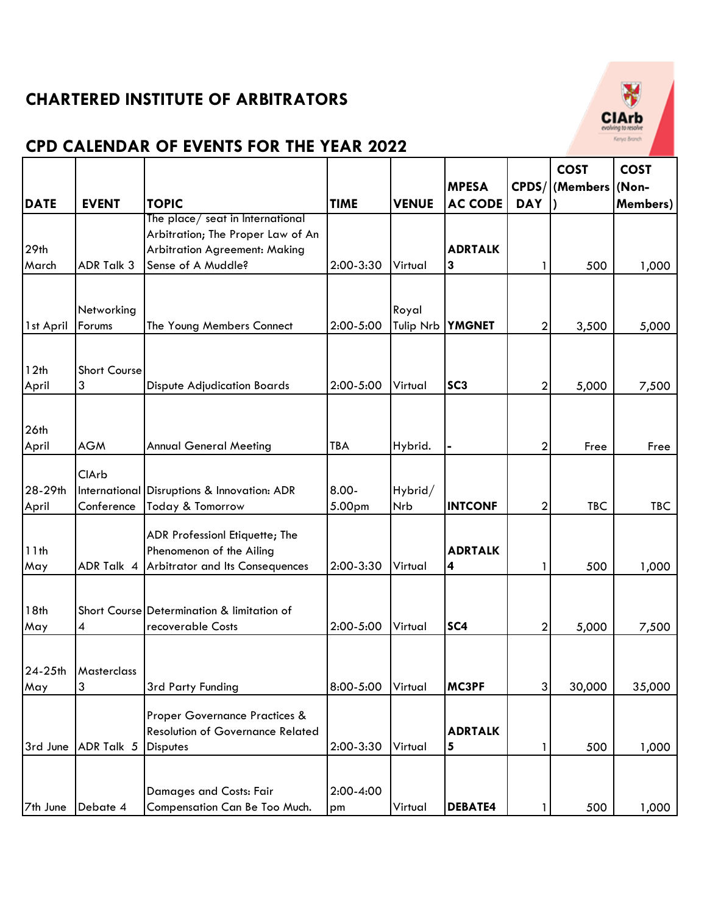

|                  |                          |                                             |             |                  |                 |                  | <b>COST</b> | <b>COST</b>      |
|------------------|--------------------------|---------------------------------------------|-------------|------------------|-----------------|------------------|-------------|------------------|
|                  |                          |                                             |             |                  | <b>MPESA</b>    | CPDS/            | (Members    | (Non-            |
| <b>DATE</b>      | <b>EVENT</b>             | <b>TOPIC</b>                                | <b>TIME</b> | <b>VENUE</b>     | <b>AC CODE</b>  | <b>DAY</b>       |             | <b>Members</b> ) |
|                  |                          | The place/ seat in International            |             |                  |                 |                  |             |                  |
|                  |                          | Arbitration; The Proper Law of An           |             |                  |                 |                  |             |                  |
| 29th             |                          | <b>Arbitration Agreement: Making</b>        |             |                  | <b>ADRTALK</b>  |                  |             |                  |
| March            | ADR Talk 3               | Sense of A Muddle?                          | 2:00-3:30   | Virtual          | 3               |                  | 500         | 1,000            |
|                  |                          |                                             |             |                  |                 |                  |             |                  |
|                  | Networking               |                                             |             | Royal            |                 |                  |             |                  |
| 1st April        | Forums                   | The Young Members Connect                   | 2:00-5:00   | <b>Tulip Nrb</b> | <b>YMGNET</b>   | $\mathbf{2}$     | 3,500       | 5,000            |
|                  |                          |                                             |             |                  |                 |                  |             |                  |
|                  |                          |                                             |             |                  |                 |                  |             |                  |
| 12th<br>April    | <b>Short Course</b><br>3 | <b>Dispute Adjudication Boards</b>          | 2:00-5:00   | Virtual          | SC <sub>3</sub> | $\mathbf{2}$     | 5,000       | 7,500            |
|                  |                          |                                             |             |                  |                 |                  |             |                  |
|                  |                          |                                             |             |                  |                 |                  |             |                  |
| 26 <sub>th</sub> |                          |                                             |             |                  |                 |                  |             |                  |
| April            | <b>AGM</b>               | <b>Annual General Meeting</b>               | <b>TBA</b>  | Hybrid.          |                 | $\mathbf{2}$     | Free        | Free             |
|                  | ClArb                    |                                             |             |                  |                 |                  |             |                  |
| 28-29th          |                          | International Disruptions & Innovation: ADR | 8.00-       | Hybrid/          |                 |                  |             |                  |
| April            | Conference               | Today & Tomorrow                            | 5.00pm      | <b>Nrb</b>       | <b>INTCONF</b>  | $\boldsymbol{2}$ | <b>TBC</b>  | <b>TBC</b>       |
|                  |                          |                                             |             |                  |                 |                  |             |                  |
|                  |                          | ADR Professionl Etiquette; The              |             |                  |                 |                  |             |                  |
| 11th             |                          | Phenomenon of the Ailing                    |             |                  | <b>ADRTALK</b>  |                  |             |                  |
| May              | ADR Talk 4               | Arbitrator and Its Consequences             | 2:00-3:30   | Virtual          | 4               | 1                | 500         | 1,000            |
|                  |                          |                                             |             |                  |                 |                  |             |                  |
| 18th             |                          | Short Course Determination & limitation of  |             |                  |                 |                  |             |                  |
| May              | 4                        | recoverable Costs                           | 2:00-5:00   | Virtual          | SC <sub>4</sub> | 2                | 5,000       | 7,500            |
|                  |                          |                                             |             |                  |                 |                  |             |                  |
| 24-25th          | Masterclass              |                                             |             |                  |                 |                  |             |                  |
| May              | 3                        | 3rd Party Funding                           | 8:00-5:00   | Virtual          | <b>MC3PF</b>    | 3 <sup>1</sup>   | 30,000      | 35,000           |
|                  |                          |                                             |             |                  |                 |                  |             |                  |
|                  |                          | Proper Governance Practices &               |             |                  |                 |                  |             |                  |
|                  |                          | <b>Resolution of Governance Related</b>     |             |                  | <b>ADRTALK</b>  |                  |             |                  |
| 3rd June         | ADR Talk 5               | <b>Disputes</b>                             | 2:00-3:30   | Virtual          | 5               |                  | 500         | 1,000            |
|                  |                          |                                             |             |                  |                 |                  |             |                  |
|                  |                          | Damages and Costs: Fair                     | 2:00-4:00   |                  |                 |                  |             |                  |
| 7th June         | Debate 4                 | Compensation Can Be Too Much.               | pm          | Virtual          | <b>DEBATE4</b>  | 1                | 500         | 1,000            |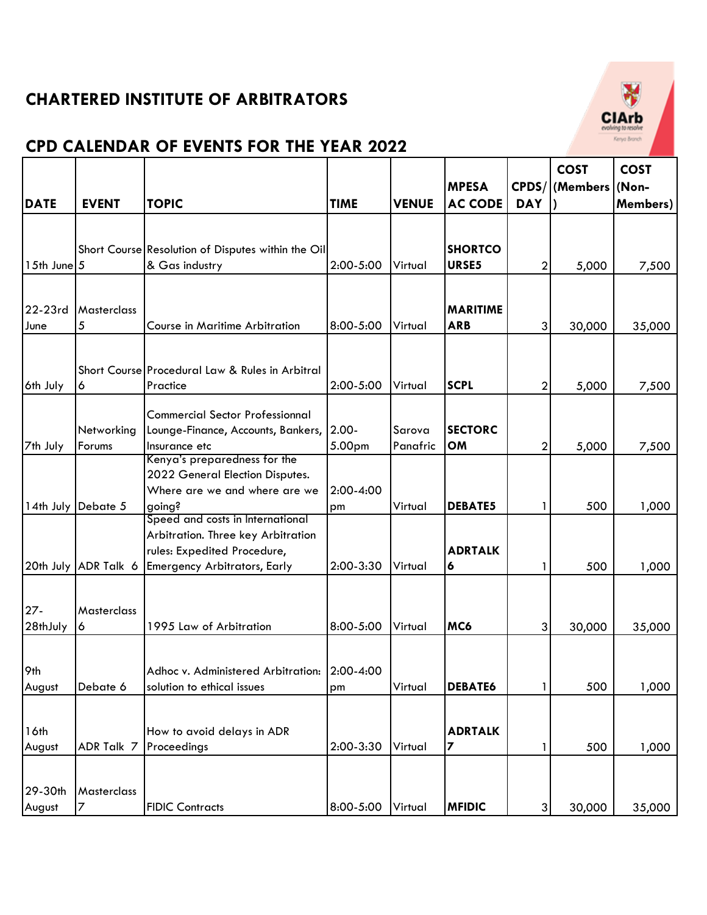

|                 |                      |                                                    |             |              |                         |                | <b>COST</b> | <b>COST</b>      |
|-----------------|----------------------|----------------------------------------------------|-------------|--------------|-------------------------|----------------|-------------|------------------|
|                 |                      |                                                    |             |              | <b>MPESA</b>            | CPDS/          | (Members    | (Non-            |
| <b>DATE</b>     | <b>EVENT</b>         | <b>TOPIC</b>                                       | <b>TIME</b> | <b>VENUE</b> | <b>AC CODE</b>          | <b>DAY</b>     |             | <b>Members</b> ) |
|                 |                      |                                                    |             |              |                         |                |             |                  |
|                 |                      |                                                    |             |              |                         |                |             |                  |
|                 |                      | Short Course Resolution of Disputes within the Oil |             |              | <b>SHORTCO</b><br>URSE5 |                |             |                  |
| $15th$ June $5$ |                      | & Gas industry                                     | 2:00-5:00   | Virtual      |                         | $\overline{2}$ | 5,000       | 7,500            |
|                 |                      |                                                    |             |              |                         |                |             |                  |
| 22-23rd         | <b>Masterclass</b>   |                                                    |             |              | <b>MARITIME</b>         |                |             |                  |
| June            | 5                    | Course in Maritime Arbitration                     | 8:00-5:00   | Virtual      | <b>ARB</b>              | $\mathbf{3}$   | 30,000      | 35,000           |
|                 |                      |                                                    |             |              |                         |                |             |                  |
|                 |                      | Short Course Procedural Law & Rules in Arbitral    |             |              |                         |                |             |                  |
| 6th July        | 6                    | Practice                                           | 2:00-5:00   | Virtual      | <b>SCPL</b>             | $\overline{2}$ | 5,000       | 7,500            |
|                 |                      |                                                    |             |              |                         |                |             |                  |
|                 |                      | <b>Commercial Sector Professionnal</b>             |             |              |                         |                |             |                  |
|                 | Networking           | Lounge-Finance, Accounts, Bankers,                 | $2.00 -$    | Sarova       | <b>SECTORC</b>          |                |             |                  |
| 7th July        | Forums               | Insurance etc                                      | 5.00pm      | Panafric     | OM                      | $\mathbf{2}$   | 5,000       | 7,500            |
|                 |                      | Kenya's preparedness for the                       |             |              |                         |                |             |                  |
|                 |                      | 2022 General Election Disputes.                    |             |              |                         |                |             |                  |
|                 | 14th July Debate 5   | Where are we and where are we                      | 2:00-4:00   | Virtual      | <b>DEBATE5</b>          | 1              | 500         |                  |
|                 |                      | going?<br>Speed and costs in International         | pm          |              |                         |                |             | 1,000            |
|                 |                      | Arbitration. Three key Arbitration                 |             |              |                         |                |             |                  |
|                 |                      | rules: Expedited Procedure,                        |             |              | <b>ADRTALK</b>          |                |             |                  |
|                 | 20th July ADR Talk 6 | <b>Emergency Arbitrators, Early</b>                | 2:00-3:30   | Virtual      | 6                       |                | 500         | 1,000            |
|                 |                      |                                                    |             |              |                         |                |             |                  |
|                 |                      |                                                    |             |              |                         |                |             |                  |
| $27 -$          | <b>Masterclass</b>   |                                                    |             |              |                         |                |             |                  |
| 28thJuly        | 6                    | 1995 Law of Arbitration                            | 8:00-5:00   | Virtual      | MC6                     | $\mathbf{3}$   | 30,000      | 35,000           |
|                 |                      |                                                    |             |              |                         |                |             |                  |
| 9th             |                      | Adhoc v. Administered Arbitration: 2:00-4:00       |             |              |                         |                |             |                  |
| August          | Debate 6             | solution to ethical issues                         | pm          | Virtual      | <b>DEBATE6</b>          | 1              | 500         | 1,000            |
|                 |                      |                                                    |             |              |                         |                |             |                  |
|                 |                      |                                                    |             |              |                         |                |             |                  |
| 16th            |                      | How to avoid delays in ADR                         |             |              | <b>ADRTALK</b>          |                |             |                  |
| August          | ADR Talk 7           | Proceedings                                        | 2:00-3:30   | Virtual      | 7                       | 1              | 500         | 1,000            |
|                 |                      |                                                    |             |              |                         |                |             |                  |
| 29-30th         | Masterclass          |                                                    |             |              |                         |                |             |                  |
| August          |                      | <b>FIDIC Contracts</b>                             | 8:00-5:00   | Virtual      | <b>MFIDIC</b>           | $\overline{3}$ | 30,000      | 35,000           |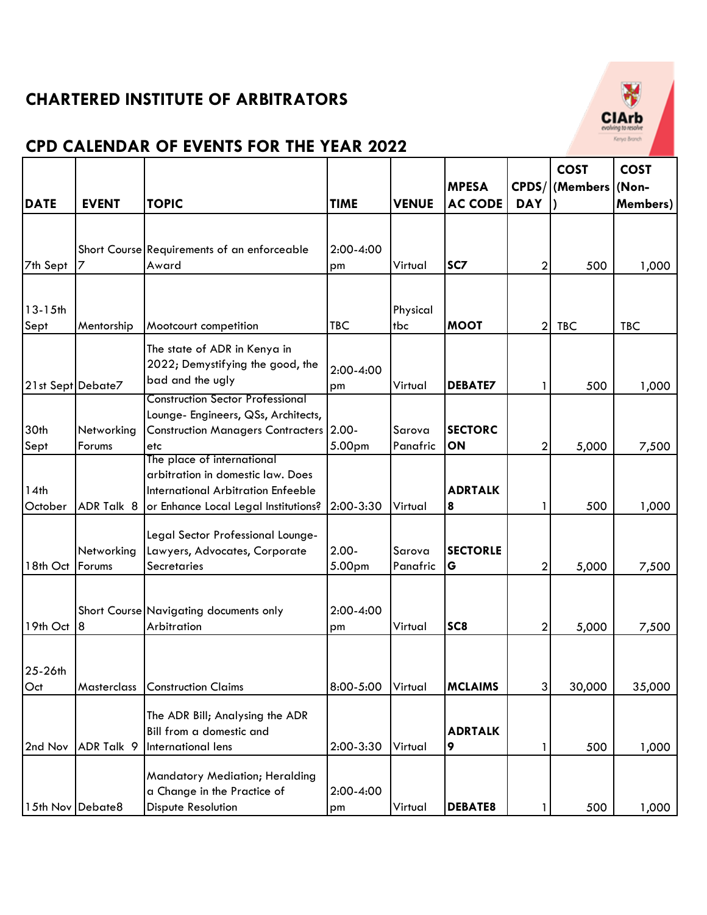

|                   |              |                                                               |             |              |                 |                | <b>COST</b> | <b>COST</b> |
|-------------------|--------------|---------------------------------------------------------------|-------------|--------------|-----------------|----------------|-------------|-------------|
|                   |              |                                                               |             |              | <b>MPESA</b>    | CPDS/          | (Members    | (Non-       |
| <b>DATE</b>       | <b>EVENT</b> | <b>TOPIC</b>                                                  | <b>TIME</b> | <b>VENUE</b> | <b>AC CODE</b>  | <b>DAY</b>     |             | Members)    |
|                   |              |                                                               |             |              |                 |                |             |             |
|                   |              | Short Course Requirements of an enforceable                   | 2:00-4:00   |              |                 |                |             |             |
| 7th Sept          |              | Award                                                         | pm          | Virtual      | SC <sub>7</sub> | $\mathbf{2}$   | 500         | 1,000       |
|                   |              |                                                               |             |              |                 |                |             |             |
|                   |              |                                                               |             |              |                 |                |             |             |
| $13 - 15$ th      |              |                                                               |             | Physical     |                 |                |             |             |
| Sept              | Mentorship   | Mootcourt competition                                         | <b>TBC</b>  | tbc          | <b>MOOT</b>     | $\mathbf{2}$   | <b>TBC</b>  | <b>TBC</b>  |
|                   |              | The state of ADR in Kenya in                                  |             |              |                 |                |             |             |
|                   |              | 2022; Demystifying the good, the                              | 2:00-4:00   |              |                 |                |             |             |
| 21st Sept Debate7 |              | bad and the ugly                                              | pm          | Virtual      | <b>DEBATE7</b>  |                | 500         | 1,000       |
|                   |              | <b>Construction Sector Professional</b>                       |             |              |                 |                |             |             |
|                   |              | Lounge- Engineers, QSs, Architects,                           |             |              |                 |                |             |             |
| 30th              | Networking   | <b>Construction Managers Contracters 2.00-</b>                |             | Sarova       | <b>SECTORC</b>  |                |             |             |
| Sept              | Forums       | etc<br>The place of international                             | 5.00pm      | Panafric     | ON              | 2              | 5,000       | 7,500       |
|                   |              | arbitration in domestic law. Does                             |             |              |                 |                |             |             |
| 14th              |              | <b>International Arbitration Enfeeble</b>                     |             |              | <b>ADRTALK</b>  |                |             |             |
| October           | ADR Talk 8   | or Enhance Local Legal Institutions?                          | 2:00-3:30   | Virtual      | 8               |                | 500         | 1,000       |
|                   |              |                                                               |             |              |                 |                |             |             |
|                   |              | Legal Sector Professional Lounge-                             |             |              |                 |                |             |             |
|                   | Networking   | Lawyers, Advocates, Corporate                                 | $2.00 -$    | Sarova       | <b>SECTORLE</b> |                |             |             |
| 18th Oct          | Forums       | Secretaries                                                   | 5.00pm      | Panafric     | G               | 2              | 5,000       | 7,500       |
|                   |              |                                                               |             |              |                 |                |             |             |
|                   |              | Short Course Navigating documents only                        | 2:00-4:00   |              |                 |                |             |             |
| 19th Oct          | 8            | Arbitration                                                   | pm          | Virtual      | SC <sub>8</sub> | $\overline{2}$ | 5,000       | 7,500       |
|                   |              |                                                               |             |              |                 |                |             |             |
| 25-26th           |              |                                                               |             |              |                 |                |             |             |
| Oct               | Masterclass  | <b>Construction Claims</b>                                    | 8:00-5:00   | Virtual      | <b>MCLAIMS</b>  | $\overline{3}$ | 30,000      | 35,000      |
|                   |              |                                                               |             |              |                 |                |             |             |
|                   |              | The ADR Bill; Analysing the ADR                               |             |              |                 |                |             |             |
|                   |              | Bill from a domestic and                                      |             |              | <b>ADRTALK</b>  |                |             |             |
| 2nd Nov           | ADR Talk 9   | International lens                                            | 2:00-3:30   | Virtual      | 9               |                | 500         | 1,000       |
|                   |              |                                                               |             |              |                 |                |             |             |
|                   |              | Mandatory Mediation; Heralding<br>a Change in the Practice of | 2:00-4:00   |              |                 |                |             |             |
| 15th Nov Debate8  |              | Dispute Resolution                                            |             | Virtual      | <b>DEBATE8</b>  |                | 500         | 1,000       |
|                   |              |                                                               | pm          |              |                 |                |             |             |